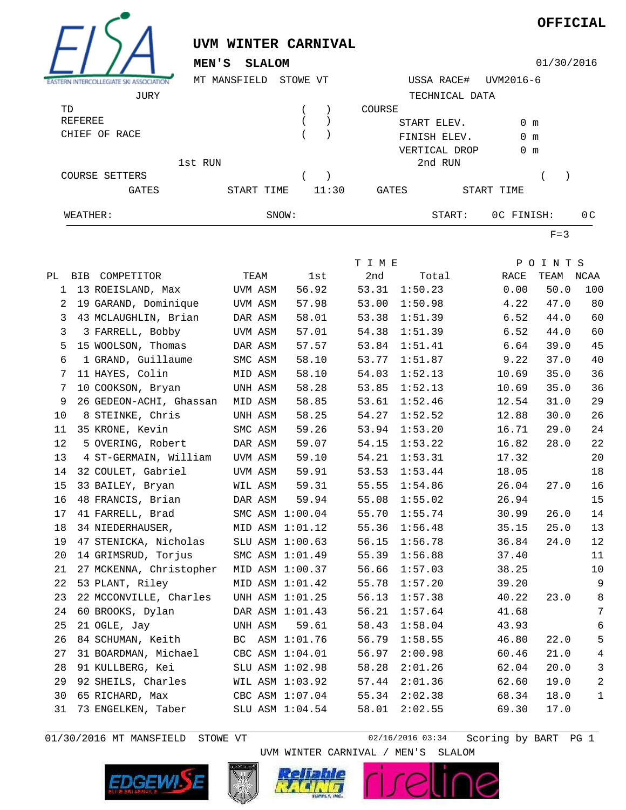

01/30/2016 MT MANSFIELD STOWE VT 02/16/2016 03:34

Scoring by BART PG 1